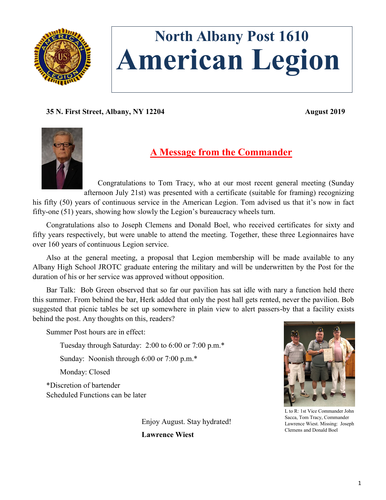

# **North Albany Post 1610 American Legion**

**35 N. First Street, Albany, NY 12204 August 2019**



# **A Message from the Commander**

Congratulations to Tom Tracy, who at our most recent general meeting (Sunday afternoon July 21st) was presented with a certificate (suitable for framing) recognizing

his fifty (50) years of continuous service in the American Legion. Tom advised us that it's now in fact fifty-one (51) years, showing how slowly the Legion's bureaucracy wheels turn.

Congratulations also to Joseph Clemens and Donald Boel, who received certificates for sixty and fifty years respectively, but were unable to attend the meeting. Together, these three Legionnaires have over 160 years of continuous Legion service.

Also at the general meeting, a proposal that Legion membership will be made available to any Albany High School JROTC graduate entering the military and will be underwritten by the Post for the duration of his or her service was approved without opposition.

Bar Talk: Bob Green observed that so far our pavilion has sat idle with nary a function held there this summer. From behind the bar, Herk added that only the post hall gets rented, never the pavilion. Bob suggested that picnic tables be set up somewhere in plain view to alert passers-by that a facility exists behind the post. Any thoughts on this, readers?

Summer Post hours are in effect:

Tuesday through Saturday: 2:00 to 6:00 or 7:00 p.m.\*

Sunday: Noonish through 6:00 or 7:00 p.m.\*

Monday: Closed

\*Discretion of bartender Scheduled Functions can be later

> Enjoy August. Stay hydrated! **Lawrence Wiest**



L to R: 1st Vice Commander John Sacca, Tom Tracy, Commander Lawrence Wiest. Missing: Joseph Clemens and Donald Boel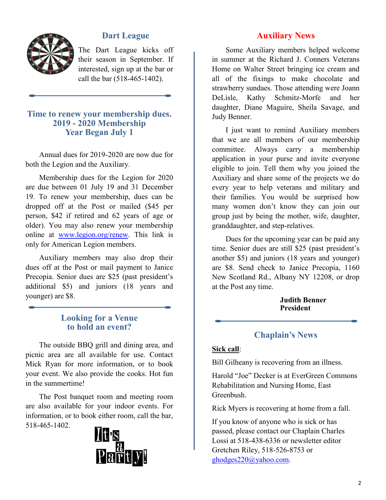

# **Dart League**

The Dart League kicks off their season in September. If interested, sign up at the bar or call the bar (518-465-1402).

## **Time to renew your membership dues. 2019 - 2020 Membership Year Began July 1**

Annual dues for 2019-2020 are now due for both the Legion and the Auxiliary.

Membership dues for the Legion for 2020 are due between 01 July 19 and 31 December 19. To renew your membership, dues can be dropped off at the Post or mailed (\$45 per person, \$42 if retired and 62 years of age or older). You may also renew your membership online at [www.legion.org/renew.](http://www.legion.org/renew) This link is only for American Legion members.

Auxiliary members may also drop their dues off at the Post or mail payment to Janice Precopia. Senior dues are \$25 (past president's additional \$5) and juniors (18 years and younger) are \$8.

### **Looking for a Venue to hold an event?**

The outside BBQ grill and dining area, and picnic area are all available for use. Contact Mick Ryan for more information, or to book your event. We also provide the cooks. Hot fun in the summertime!

The Post banquet room and meeting room are also available for your indoor events. For information, or to book either room, call the bar, 518-465-1402.



# **Auxiliary News**

Some Auxiliary members helped welcome in summer at the Richard J. Conners Veterans Home on Walter Street bringing ice cream and all of the fixings to make chocolate and strawberry sundaes. Those attending were Joann DeLisle, Kathy Schmitz-Morfe and her daughter, Diane Maguire, Sheila Savage, and Judy Benner.

I just want to remind Auxiliary members that we are all members of our membership committee. Always carry a membership application in your purse and invite everyone eligible to join. Tell them why you joined the Auxiliary and share some of the projects we do every year to help veterans and military and their families. You would be surprised how many women don't know they can join our group just by being the mother, wife, daughter, granddaughter, and step-relatives.

Dues for the upcoming year can be paid any time. Senior dues are still \$25 (past president's another \$5) and juniors (18 years and younger) are \$8. Send check to Janice Precopia, 1160 New Scotland Rd., Albany NY 12208, or drop at the Post any time.

#### **Judith Benner President**

## **Chaplain's News**

#### **Sick call**:

Bill Gilheany is recovering from an illness.

Harold "Joe" Decker is at EverGreen Commons Rehabilitation and Nursing Home, East Greenbush.

Rick Myers is recovering at home from a fall.

If you know of anyone who is sick or has passed, please contact our Chaplain Charles Lossi at 518-438-6336 or newsletter editor Gretchen Riley, 518-526-8753 or [ghodges220@yahoo.com.](mailto:ghodges220@yahoo.com)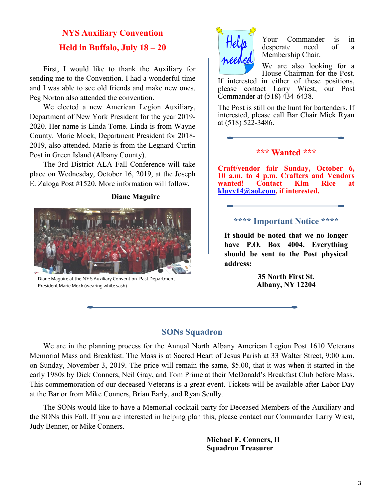# **NYS Auxiliary Convention Held in Buffalo, July 18 – 20**

First, I would like to thank the Auxiliary for sending me to the Convention. I had a wonderful time and I was able to see old friends and make new ones. Peg Norton also attended the convention.

We elected a new American Legion Auxiliary, Department of New York President for the year 2019- 2020. Her name is Linda Tome. Linda is from Wayne County. Marie Mock, Department President for 2018- 2019, also attended. Marie is from the Legnard-Curtin Post in Green Island (Albany County).

The 3rd District ALA Fall Conference will take place on Wednesday, October 16, 2019, at the Joseph E. Zaloga Post #1520. More information will follow.

**Diane Maguire**



Diane Maguire at the NYS Auxiliary Convention. Past Department President Marie Mock (wearing white sash)



Your Commander is in desperate need of a Membership Chair.

We are also looking for a House Chairman for the Post.

If interested in either of these positions, please contact Larry Wiest, our Post Commander at (518) 434-6438.

The Post is still on the hunt for bartenders. If interested, please call Bar Chair Mick Ryan at (518) 522-3486.

#### **\*\*\* Wanted \*\*\***

**Craft/vendor fair Sunday, October 6, 10 a.m. to 4 p.m. Crafters and Vendors wanted! Contact Kim Rice at [kluvy14@aol.com,](mailto:kluvy14@aol.com) if interested.**

#### **\*\*\*\* Important Notice \*\*\*\***

**It should be noted that we no longer have P.O. Box 4004. Everything should be sent to the Post physical address:**

> **35 North First St. Albany, NY 12204**

# **SONs Squadron**

We are in the planning process for the Annual North Albany American Legion Post 1610 Veterans Memorial Mass and Breakfast. The Mass is at Sacred Heart of Jesus Parish at 33 Walter Street, 9:00 a.m. on Sunday, November 3, 2019. The price will remain the same, \$5.00, that it was when it started in the early 1980s by Dick Conners, Neil Gray, and Tom Prime at their McDonald's Breakfast Club before Mass. This commemoration of our deceased Veterans is a great event. Tickets will be available after Labor Day at the Bar or from Mike Conners, Brian Early, and Ryan Scully.

The SONs would like to have a Memorial cocktail party for Deceased Members of the Auxiliary and the SONs this Fall. If you are interested in helping plan this, please contact our Commander Larry Wiest, Judy Benner, or Mike Conners.

> **Michael F. Conners, II Squadron Treasurer**